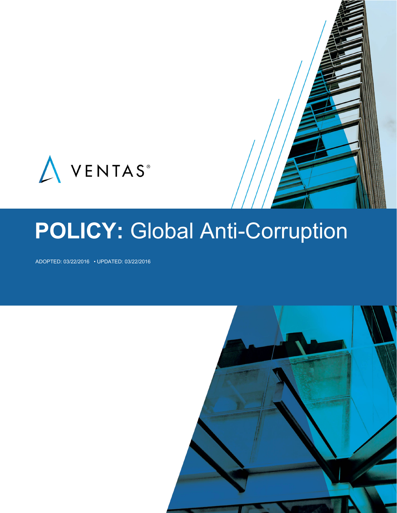

# **POLICY:** Global Anti-Corruption

ADOPTED: 03/22/2016 • UPDATED: 03/22/2016

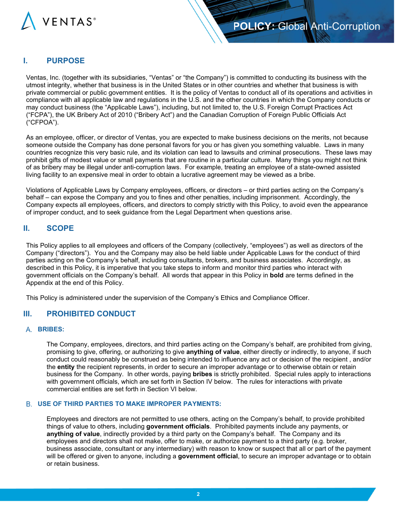

## **I. PURPOSE**

Ventas, Inc. (together with its subsidiaries, "Ventas" or "the Company") is committed to conducting its business with the utmost integrity, whether that business is in the United States or in other countries and whether that business is with private commercial or public government entities. It is the policy of Ventas to conduct all of its operations and activities in compliance with all applicable law and regulations in the U.S. and the other countries in which the Company conducts or may conduct business (the "Applicable Laws"), including, but not limited to, the U.S. Foreign Corrupt Practices Act ("FCPA"), the UK Bribery Act of 2010 ("Bribery Act") and the Canadian Corruption of Foreign Public Officials Act ("CFPOA").

As an employee, officer, or director of Ventas, you are expected to make business decisions on the merits, not because someone outside the Company has done personal favors for you or has given you something valuable. Laws in many countries recognize this very basic rule, and its violation can lead to lawsuits and criminal prosecutions. These laws may prohibit gifts of modest value or small payments that are routine in a particular culture. Many things you might not think of as bribery may be illegal under anti-corruption laws. For example, treating an employee of a state-owned assisted living facility to an expensive meal in order to obtain a lucrative agreement may be viewed as a bribe.

Violations of Applicable Laws by Company employees, officers, or directors – or third parties acting on the Company's behalf – can expose the Company and you to fines and other penalties, including imprisonment. Accordingly, the Company expects all employees, officers, and directors to comply strictly with this Policy, to avoid even the appearance of improper conduct, and to seek guidance from the Legal Department when questions arise.

## **II. SCOPE**

This Policy applies to all employees and officers of the Company (collectively, "employees") as well as directors of the Company ("directors"). You and the Company may also be held liable under Applicable Laws for the conduct of third parties acting on the Company's behalf, including consultants, brokers, and business associates. Accordingly, as described in this Policy, it is imperative that you take steps to inform and monitor third parties who interact with government officials on the Company's behalf. All words that appear in this Policy in **bold** are terms defined in the Appendix at the end of this Policy.

This Policy is administered under the supervision of the Company's Ethics and Compliance Officer.

## **III. PROHIBITED CONDUCT**

#### **BRIBES:**

The Company, employees, directors, and third parties acting on the Company's behalf, are prohibited from giving, promising to give, offering, or authorizing to give **anything of value**, either directly or indirectly, to anyone, if such conduct could reasonably be construed as being intended to influence any act or decision of the recipient , and/or the **entity** the recipient represents, in order to secure an improper advantage or to otherwise obtain or retain business for the Company. In other words, paying **bribes** is strictly prohibited. Special rules apply to interactions with government officials, which are set forth in Section IV below. The rules for interactions with private commercial entities are set forth in Section VI below.

### **USE OF THIRD PARTIES TO MAKE IMPROPER PAYMENTS:**

Employees and directors are not permitted to use others, acting on the Company's behalf, to provide prohibited things of value to others, including **government officials**. Prohibited payments include any payments, or **anything of value**, indirectly provided by a third party on the Company's behalf. The Company and its employees and directors shall not make, offer to make, or authorize payment to a third party (e.g. broker, business associate, consultant or any intermediary) with reason to know or suspect that all or part of the payment will be offered or given to anyone, including a **government official**, to secure an improper advantage or to obtain or retain business.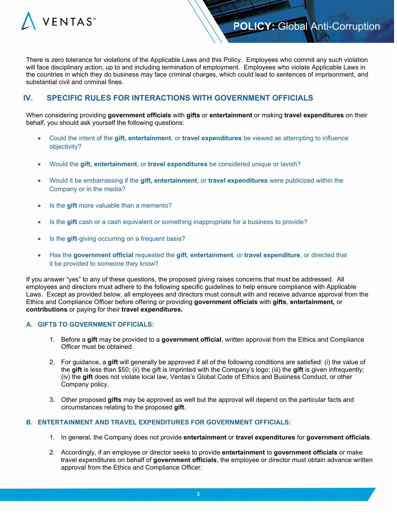

There is zero tolerance for violations of the Applicable Laws and this Policy. Employees who commit any such violation will face disciplinary action, up to and including termination of employment. Employees who violate Applicable Laws in the countries in which they do business may face criminal charges, which could lead to sentences of imprisonment, and substantial civil and criminal fines.

## **IV. SPECIFIC RULES FOR INTERACTIONS WITH GOVERNMENT OFFICIALS**

When considering providing **government officials** with **gifts** or **entertainment** or making **travel expenditures** on their behalf, you should ask yourself the following questions:

- Could the intent of the **gift, entertainment**, or **travel expenditures** be viewed as attempting to influence objectivity?
- Would the **gift, entertainment**, or **travel expenditures** be considered unique or lavish?
- Would it be embarrassing if the **gift, entertainment**, or **travel expenditures** were publicized within the Company or in the media?
- Is the **gift** more valuable than a memento?
- Is the **gift** cash or a cash equivalent or something inappropriate for a business to provide?
- Is the gift-giving occurring on a frequent basis?
- Has the **government official** requested the **gift**, **entertainment**, or **travel expenditure**, or directed that it be provided to someone they know?

If you answer "yes" to any of these questions, the proposed giving raises concerns that must be addressed. All employees and directors must adhere to the following specific guidelines to help ensure compliance with Applicable Laws. Except as provided below, all employees and directors must consult with and receive advance approval from the Ethics and Compliance Officer before offering or providing **government officials** with **gifts**, **entertainment,** or **contributions** or paying for their **travel expenditures.**

### **A. GIFTS TO GOVERNMENT OFFICIALS:**

- 1. Before a **gift** may be provided to a **government official**, written approval from the Ethics and Compliance Officer must be obtained.
- 2. For guidance, a **gift** will generally be approved if all of the following conditions are satisfied: (i) the value of the **gift** is less than \$50; (ii) the gift is imprinted with the Company's logo; (iii) the **gift** is given infrequently; (iv) the **gift** does not violate local law, Ventas's Global Code of Ethics and Business Conduct, or other Company policy.
- 3. Other proposed **gifts** may be approved as well but the approval will depend on the particular facts and circumstances relating to the proposed **gift**.

#### **B. ENTERTAINMENT AND TRAVEL EXPENDITURES FOR GOVERNMENT OFFICIALS:**

- 1. In general, the Company does not provide **entertainment** or **travel expenditures** for **government officials**.
- 2. Accordingly, if an employee or director seeks to provide **entertainment** to **government officials** or make travel expenditures on behalf of **government officials**, the employee or director must obtain advance written approval from the Ethics and Compliance Officer.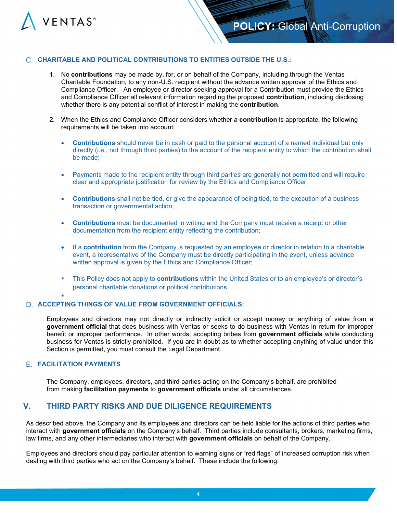

## **C. CHARITABLE AND POLITICAL CONTRIBUTIONS TO ENTITIES OUTSIDE THE U.S.:**

- 1. No **contributions** may be made by, for, or on behalf of the Company, including through the Ventas Charitable Foundation, to any non-U.S. recipient without the advance written approval of the Ethics and Compliance Officer. An employee or director seeking approval for a Contribution must provide the Ethics and Compliance Officer all relevant information regarding the proposed **contribution**, including disclosing whether there is any potential conflict of interest in making the **contribution**.
- 2. When the Ethics and Compliance Officer considers whether a **contribution** is appropriate, the following requirements will be taken into account:
	- **Contributions** should never be in cash or paid to the personal account of a named individual but only directly (i.e., not through third parties) to the account of the recipient entity to which the contribution shall be made;
	- Payments made to the recipient entity through third parties are generally not permitted and will require clear and appropriate justification for review by the Ethics and Compliance Officer;
	- **Contributions** shall not be tied, or give the appearance of being tied, to the execution of a business transaction or governmental action;
	- **Contributions** must be documented in writing and the Company must receive a receipt or other documentation from the recipient entity reflecting the contribution;
	- If a **contribution** from the Company is requested by an employee or director in relation to a charitable event, a representative of the Company must be directly participating in the event, unless advance written approval is given by the Ethics and Compliance Officer;
	- This Policy does not apply to **contributions** within the United States or to an employee's or director's personal charitable donations or political contributions.
	- Ľ

## **ACCEPTING THINGS OF VALUE FROM GOVERNMENT OFFICIALS:**

Employees and directors may not directly or indirectly solicit or accept money or anything of value from a **government official** that does business with Ventas or seeks to do business with Ventas in return for improper benefit or improper performance. In other words, accepting bribes from **government officials** while conducting business for Ventas is strictly prohibited. If you are in doubt as to whether accepting anything of value under this Section is permitted, you must consult the Legal Department.

# **FACILITATION PAYMENTS**

The Company, employees, directors, and third parties acting on the Company's behalf, are prohibited from making **facilitation payments** to **government officials** under all circumstances.

# **V. THIRD PARTY RISKS AND DUE DILIGENCE REQUIREMENTS**

As described above, the Company and its employees and directors can be held liable for the actions of third parties who interact with **government officials** on the Company's behalf. Third parties include consultants, brokers, marketing firms, law firms, and any other intermediaries who interact with **government officials** on behalf of the Company.

Employees and directors should pay particular attention to warning signs or "red flags" of increased corruption risk when dealing with third parties who act on the Company's behalf. These include the following: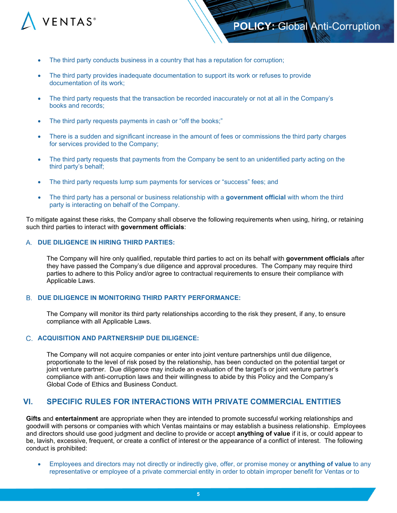

- The third party conducts business in a country that has a reputation for corruption;
- The third party provides inadequate documentation to support its work or refuses to provide documentation of its work;
- The third party requests that the transaction be recorded inaccurately or not at all in the Company's books and records;
- The third party requests payments in cash or "off the books;"
- There is a sudden and significant increase in the amount of fees or commissions the third party charges for services provided to the Company;
- The third party requests that payments from the Company be sent to an unidentified party acting on the third party's behalf;
- The third party requests lump sum payments for services or "success" fees; and
- The third party has a personal or business relationship with a **government official** with whom the third party is interacting on behalf of the Company.

To mitigate against these risks, the Company shall observe the following requirements when using, hiring, or retaining such third parties to interact with **government officials**:

#### **DUE DILIGENCE IN HIRING THIRD PARTIES:**

The Company will hire only qualified, reputable third parties to act on its behalf with **government officials** after they have passed the Company's due diligence and approval procedures. The Company may require third parties to adhere to this Policy and/or agree to contractual requirements to ensure their compliance with Applicable Laws.

#### **DUE DILIGENCE IN MONITORING THIRD PARTY PERFORMANCE:**

The Company will monitor its third party relationships according to the risk they present, if any, to ensure compliance with all Applicable Laws.

### **ACQUISITION AND PARTNERSHIP DUE DILIGENCE:**

The Company will not acquire companies or enter into joint venture partnerships until due diligence, proportionate to the level of risk posed by the relationship, has been conducted on the potential target or joint venture partner. Due diligence may include an evaluation of the target's or joint venture partner's compliance with anti-corruption laws and their willingness to abide by this Policy and the Company's Global Code of Ethics and Business Conduct.

## **VI. SPECIFIC RULES FOR INTERACTIONS WITH PRIVATE COMMERCIAL ENTITIES**

 **Gifts** and **entertainment** are appropriate when they are intended to promote successful working relationships and goodwill with persons or companies with which Ventas maintains or may establish a business relationship. Employees and directors should use good judgment and decline to provide or accept **anything of value** if it is, or could appear to be, lavish, excessive, frequent, or create a conflict of interest or the appearance of a conflict of interest. The following conduct is prohibited:

• Employees and directors may not directly or indirectly give, offer, or promise money or **anything of value** to any representative or employee of a private commercial entity in order to obtain improper benefit for Ventas or to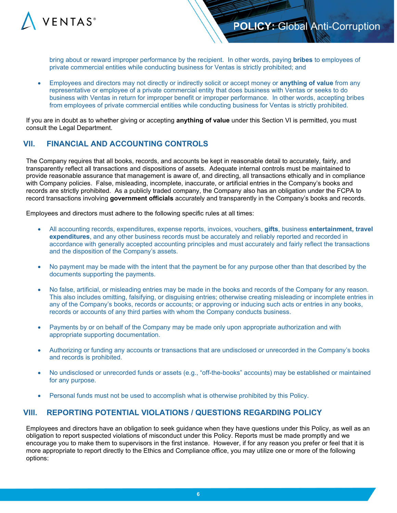

bring about or reward improper performance by the recipient. In other words, paying **bribes** to employees of private commercial entities while conducting business for Ventas is strictly prohibited; and

• Employees and directors may not directly or indirectly solicit or accept money or **anything of value** from any representative or employee of a private commercial entity that does business with Ventas or seeks to do business with Ventas in return for improper benefit or improper performance. In other words, accepting bribes from employees of private commercial entities while conducting business for Ventas is strictly prohibited.

If you are in doubt as to whether giving or accepting **anything of value** under this Section VI is permitted, you must consult the Legal Department.

# **VII. FINANCIAL AND ACCOUNTING CONTROLS**

The Company requires that all books, records, and accounts be kept in reasonable detail to accurately, fairly, and transparently reflect all transactions and dispositions of assets. Adequate internal controls must be maintained to provide reasonable assurance that management is aware of, and directing, all transactions ethically and in compliance with Company policies. False, misleading, incomplete, inaccurate, or artificial entries in the Company's books and records are strictly prohibited. As a publicly traded company, the Company also has an obligation under the FCPA to record transactions involving **government officials** accurately and transparently in the Company's books and records.

Employees and directors must adhere to the following specific rules at all times:

- All accounting records, expenditures, expense reports, invoices, vouchers, **gifts**, business **entertainment, travel expenditures**, and any other business records must be accurately and reliably reported and recorded in accordance with generally accepted accounting principles and must accurately and fairly reflect the transactions and the disposition of the Company's assets.
- No payment may be made with the intent that the payment be for any purpose other than that described by the documents supporting the payments.
- No false, artificial, or misleading entries may be made in the books and records of the Company for any reason. This also includes omitting, falsifying, or disguising entries; otherwise creating misleading or incomplete entries in any of the Company's books, records or accounts; or approving or inducing such acts or entries in any books, records or accounts of any third parties with whom the Company conducts business.
- Payments by or on behalf of the Company may be made only upon appropriate authorization and with appropriate supporting documentation.
- Authorizing or funding any accounts or transactions that are undisclosed or unrecorded in the Company's books and records is prohibited.
- No undisclosed or unrecorded funds or assets (e.g., "off-the-books" accounts) may be established or maintained for any purpose.
- Personal funds must not be used to accomplish what is otherwise prohibited by this Policy.

# **VIII. REPORTING POTENTIAL VIOLATIONS / QUESTIONS REGARDING POLICY**

Employees and directors have an obligation to seek guidance when they have questions under this Policy, as well as an obligation to report suspected violations of misconduct under this Policy. Reports must be made promptly and we encourage you to make them to supervisors in the first instance. However, if for any reason you prefer or feel that it is more appropriate to report directly to the Ethics and Compliance office, you may utilize one or more of the following options: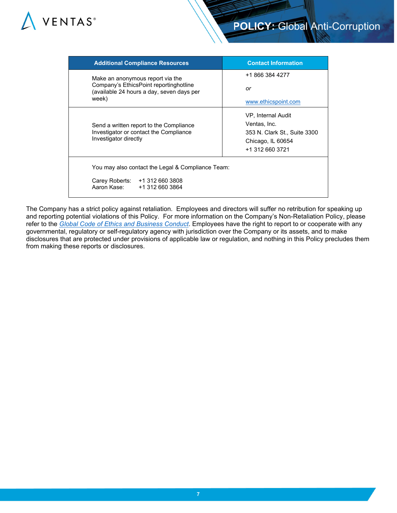

| <b>Additional Compliance Resources</b>                                                                                           | <b>Contact Information</b>                                                                                 |  |
|----------------------------------------------------------------------------------------------------------------------------------|------------------------------------------------------------------------------------------------------------|--|
| Make an anonymous report via the<br>Company's EthicsPoint reportinghotline<br>(available 24 hours a day, seven days per<br>week) | +1 866 384 4277<br>or<br>www.ethicspoint.com                                                               |  |
| Send a written report to the Compliance<br>Investigator or contact the Compliance<br>Investigator directly                       | VP, Internal Audit<br>Ventas, Inc.<br>353 N. Clark St., Suite 3300<br>Chicago, IL 60654<br>+1 312 660 3721 |  |
| You may also contact the Legal & Compliance Team:<br>Carey Roberts: +1 312 660 3808<br>Aaron Kase:<br>+1 312 660 3864            |                                                                                                            |  |

The Company has a strict policy against retaliation. Employees and directors will suffer no retribution for speaking up and reporting potential violations of this Policy. For more information on the Company's Non-Retaliation Policy, please refer to the *[Global Code of Ethics and Business Conduct](https://www.ventasreit.com/sites/default/files/pdf/2016_0322_Policy_GlobalCodeEthicsBusinessConduct.pdf)*. Employees have the right to report to or cooperate with any governmental, regulatory or self-regulatory agency with jurisdiction over the Company or its assets, and to make disclosures that are protected under provisions of applicable law or regulation, and nothing in this Policy precludes them from making these reports or disclosures.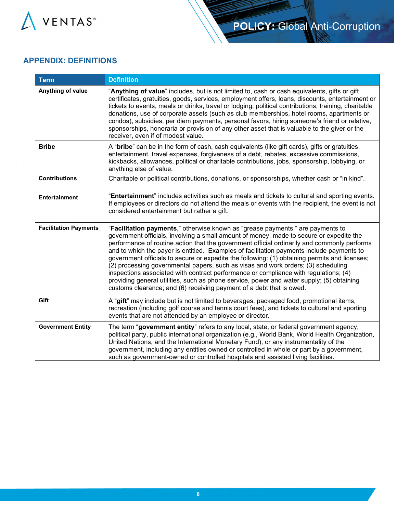

# **APPENDIX: DEFINITIONS**

| <b>Term</b>                  | <b>Definition</b>                                                                                                                                                                                                                                                                                                                                                                                                                                                                                                                                                                                                                                                                                                                                                                                                        |
|------------------------------|--------------------------------------------------------------------------------------------------------------------------------------------------------------------------------------------------------------------------------------------------------------------------------------------------------------------------------------------------------------------------------------------------------------------------------------------------------------------------------------------------------------------------------------------------------------------------------------------------------------------------------------------------------------------------------------------------------------------------------------------------------------------------------------------------------------------------|
| Anything of value            | "Anything of value" includes, but is not limited to, cash or cash equivalents, gifts or gift<br>certificates, gratuities, goods, services, employment offers, loans, discounts, entertainment or<br>tickets to events, meals or drinks, travel or lodging, political contributions, training, charitable<br>donations, use of corporate assets (such as club memberships, hotel rooms, apartments or<br>condos), subsidies, per diem payments, personal favors, hiring someone's friend or relative,<br>sponsorships, honoraria or provision of any other asset that is valuable to the giver or the<br>receiver, even if of modest value.                                                                                                                                                                               |
| <b>Bribe</b>                 | A "bribe" can be in the form of cash, cash equivalents (like gift cards), gifts or gratuities,<br>entertainment, travel expenses, forgiveness of a debt, rebates, excessive commissions,<br>kickbacks, allowances, political or charitable contributions, jobs, sponsorship, lobbying, or<br>anything else of value.                                                                                                                                                                                                                                                                                                                                                                                                                                                                                                     |
| <b>Contributions</b>         | Charitable or political contributions, donations, or sponsorships, whether cash or "in kind".                                                                                                                                                                                                                                                                                                                                                                                                                                                                                                                                                                                                                                                                                                                            |
| <b>Entertainment</b>         | "Entertainment" includes activities such as meals and tickets to cultural and sporting events.<br>If employees or directors do not attend the meals or events with the recipient, the event is not<br>considered entertainment but rather a gift.                                                                                                                                                                                                                                                                                                                                                                                                                                                                                                                                                                        |
| <b>Facilitation Payments</b> | "Facilitation payments," otherwise known as "grease payments," are payments to<br>government officials, involving a small amount of money, made to secure or expedite the<br>performance of routine action that the government official ordinarily and commonly performs<br>and to which the payer is entitled. Examples of facilitation payments include payments to<br>government officials to secure or expedite the following: (1) obtaining permits and licenses;<br>(2) processing governmental papers, such as visas and work orders; (3) scheduling<br>inspections associated with contract performance or compliance with regulations; (4)<br>providing general utilities, such as phone service, power and water supply; (5) obtaining<br>customs clearance; and (6) receiving payment of a debt that is owed. |
| Gift                         | A "gift" may include but is not limited to beverages, packaged food, promotional items,<br>recreation (including golf course and tennis court fees), and tickets to cultural and sporting<br>events that are not attended by an employee or director.                                                                                                                                                                                                                                                                                                                                                                                                                                                                                                                                                                    |
| <b>Government Entity</b>     | The term "government entity" refers to any local, state, or federal government agency,<br>political party, public international organization (e.g., World Bank, World Health Organization,<br>United Nations, and the International Monetary Fund), or any instrumentality of the<br>government, including any entities owned or controlled in whole or part by a government,<br>such as government-owned or controlled hospitals and assisted living facilities.                                                                                                                                                                                                                                                                                                                                                        |